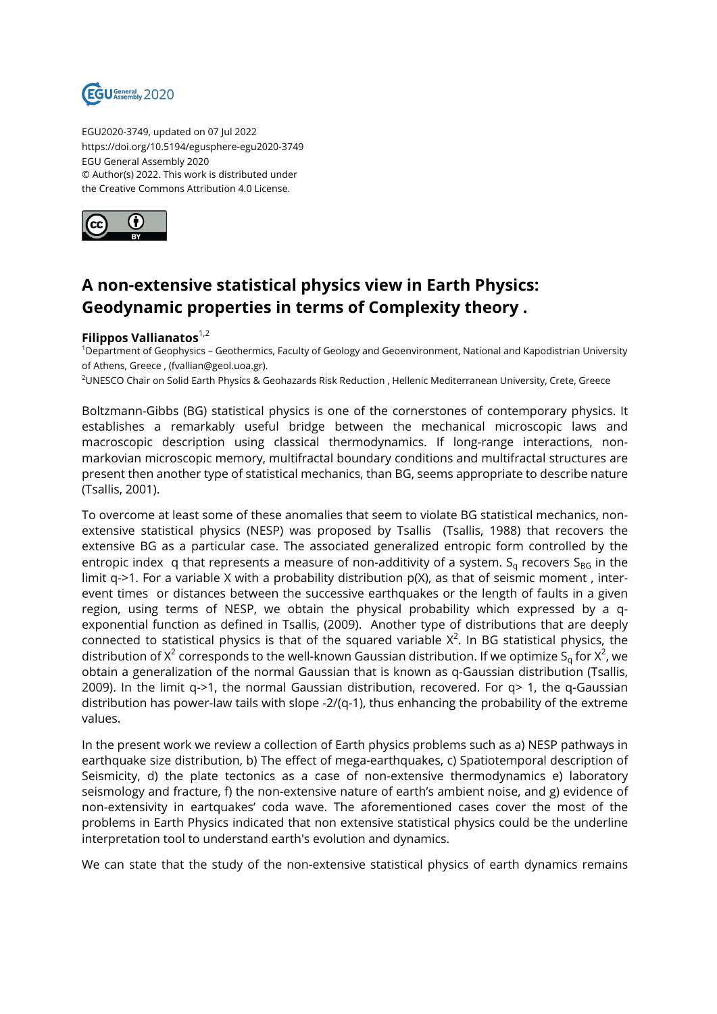

EGU2020-3749, updated on 07 Jul 2022 https://doi.org/10.5194/egusphere-egu2020-3749 EGU General Assembly 2020 © Author(s) 2022. This work is distributed under the Creative Commons Attribution 4.0 License.



## **A non-extensive statistical physics view in Earth Physics: Geodynamic properties in terms of Complexity theory .**

## **Filippos Vallianatos**1,2

<sup>1</sup>Department of Geophysics – Geothermics, Faculty of Geology and Geoenvironment, National and Kapodistrian University of Athens, Greece , (fvallian@geol.uoa.gr).

<sup>2</sup>UNESCO Chair on Solid Earth Physics & Geohazards Risk Reduction , Hellenic Mediterranean University, Crete, Greece

Boltzmann-Gibbs (BG) statistical physics is one of the cornerstones of contemporary physics. It establishes a remarkably useful bridge between the mechanical microscopic laws and macroscopic description using classical thermodynamics. If long-range interactions, nonmarkovian microscopic memory, multifractal boundary conditions and multifractal structures are present then another type of statistical mechanics, than BG, seems appropriate to describe nature (Tsallis, 2001).

To overcome at least some of these anomalies that seem to violate BG statistical mechanics, nonextensive statistical physics (NESP) was proposed by Tsallis (Tsallis, 1988) that recovers the extensive BG as a particular case. The associated generalized entropic form controlled by the entropic index q that represents a measure of non-additivity of a system.  $S<sub>g</sub>$  recovers  $S<sub>BG</sub>$  in the limit q->1. For a variable X with a probability distribution  $p(X)$ , as that of seismic moment, interevent times or distances between the successive earthquakes or the length of faults in a given region, using terms of NESP, we obtain the physical probability which expressed by a qexponential function as defined in Tsallis, (2009). Another type of distributions that are deeply connected to statistical physics is that of the squared variable  $X^2$ . In BG statistical physics, the distribution of X<sup>2</sup> corresponds to the well-known Gaussian distribution. If we optimize S<sub>q</sub> for X<sup>2</sup>, we obtain a generalization of the normal Gaussian that is known as q-Gaussian distribution (Tsallis, 2009). In the limit q->1, the normal Gaussian distribution, recovered. For q> 1, the q-Gaussian distribution has power-law tails with slope -2/(q-1), thus enhancing the probability of the extreme values.

In the present work we review a collection of Earth physics problems such as a) NESP pathways in earthquake size distribution, b) The effect of mega-earthquakes, c) Spatiotemporal description of Seismicity, d) the plate tectonics as a case of non-extensive thermodynamics e) laboratory seismology and fracture, f) the non-extensive nature of earth's ambient noise, and g) evidence of non-extensivity in eartquakes' coda wave. The aforementioned cases cover the most of the problems in Earth Physics indicated that non extensive statistical physics could be the underline interpretation tool to understand earth's evolution and dynamics.

We can state that the study of the non-extensive statistical physics of earth dynamics remains